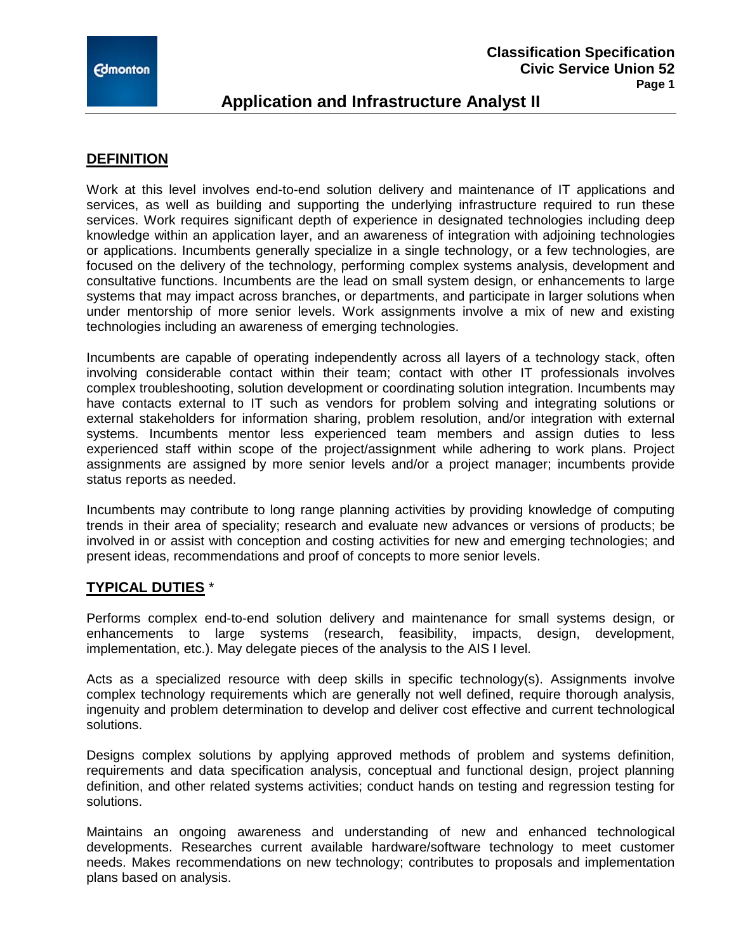

# **Application and Infrastructure Analyst II**

#### **DEFINITION**

Work at this level involves end-to-end solution delivery and maintenance of IT applications and services, as well as building and supporting the underlying infrastructure required to run these services. Work requires significant depth of experience in designated technologies including deep knowledge within an application layer, and an awareness of integration with adjoining technologies or applications. Incumbents generally specialize in a single technology, or a few technologies, are focused on the delivery of the technology, performing complex systems analysis, development and consultative functions. Incumbents are the lead on small system design, or enhancements to large systems that may impact across branches, or departments, and participate in larger solutions when under mentorship of more senior levels. Work assignments involve a mix of new and existing technologies including an awareness of emerging technologies.

Incumbents are capable of operating independently across all layers of a technology stack, often involving considerable contact within their team; contact with other IT professionals involves complex troubleshooting, solution development or coordinating solution integration. Incumbents may have contacts external to IT such as vendors for problem solving and integrating solutions or external stakeholders for information sharing, problem resolution, and/or integration with external systems. Incumbents mentor less experienced team members and assign duties to less experienced staff within scope of the project/assignment while adhering to work plans. Project assignments are assigned by more senior levels and/or a project manager; incumbents provide status reports as needed.

Incumbents may contribute to long range planning activities by providing knowledge of computing trends in their area of speciality; research and evaluate new advances or versions of products; be involved in or assist with conception and costing activities for new and emerging technologies; and present ideas, recommendations and proof of concepts to more senior levels.

### **TYPICAL DUTIES** \*

Performs complex end-to-end solution delivery and maintenance for small systems design, or enhancements to large systems (research, feasibility, impacts, design, development, implementation, etc.). May delegate pieces of the analysis to the AIS I level.

Acts as a specialized resource with deep skills in specific technology(s). Assignments involve complex technology requirements which are generally not well defined, require thorough analysis, ingenuity and problem determination to develop and deliver cost effective and current technological solutions.

Designs complex solutions by applying approved methods of problem and systems definition, requirements and data specification analysis, conceptual and functional design, project planning definition, and other related systems activities; conduct hands on testing and regression testing for solutions.

Maintains an ongoing awareness and understanding of new and enhanced technological developments. Researches current available hardware/software technology to meet customer needs. Makes recommendations on new technology; contributes to proposals and implementation plans based on analysis.